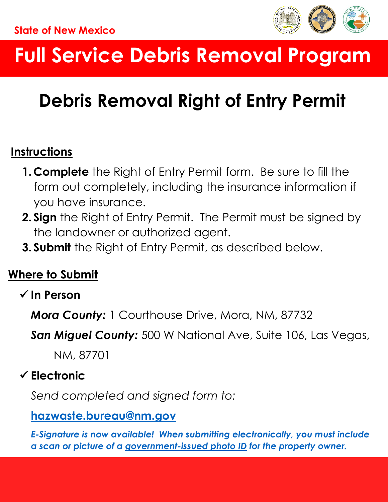

# **Full Service Debris Removal Program**

## **Debris Removal Right of Entry Permit**

## **Instructions**

- **1. Complete** the Right of Entry Permit form. Be sure to fill the form out completely, including the insurance information if you have insurance.
- **2. Sign** the Right of Entry Permit. The Permit must be signed by the landowner or authorized agent.
- **3. Submit** the Right of Entry Permit, as described below.

## **Where to Submit**

## **In Person**

*Mora County:* 1 Courthouse Drive, Mora, NM, 87732

*San Miguel County:* 500 W National Ave, Suite 106, Las Vegas,

NM, 87701

## **Electronic**

*Send completed and signed form to:*

### **[hazwaste.bureau@nm.gov](mailto:hazwaste.bureau@state.nm.us)**

*E-Signature is now available! When submitting electronically, you must include a scan or picture of a government-issued photo ID for the property owner.*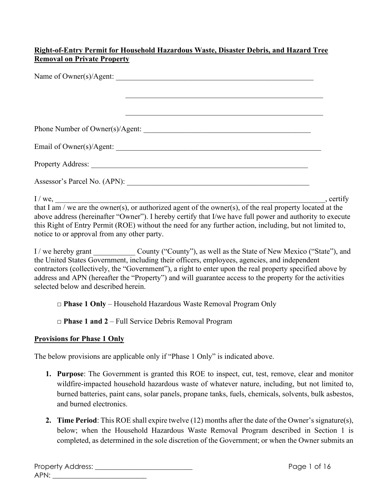#### **Right-of-Entry Permit for Household Hazardous Waste, Disaster Debris, and Hazard Tree Removal on Private Property**

| Name of Owner(s)/Agent:                                           |           |
|-------------------------------------------------------------------|-----------|
|                                                                   |           |
|                                                                   |           |
| <u> 1989 - Johann John Stone, Amerikaansk politiker (d. 1989)</u> |           |
|                                                                   |           |
|                                                                   |           |
|                                                                   |           |
|                                                                   |           |
| I/we,                                                             | , certify |

that I am / we are the owner(s), or authorized agent of the owner(s), of the real property located at the above address (hereinafter "Owner"). I hereby certify that I/we have full power and authority to execute this Right of Entry Permit (ROE) without the need for any further action, including, but not limited to, notice to or approval from any other party.

I / we hereby grant County ("County"), as well as the State of New Mexico ("State"), and the United States Government, including their officers, employees, agencies, and independent contractors (collectively, the "Government"), a right to enter upon the real property specified above by address and APN (hereafter the "Property") and will guarantee access to the property for the activities selected below and described herein.

□ **Phase 1 Only** – Household Hazardous Waste Removal Program Only

□ **Phase 1 and 2** – Full Service Debris Removal Program

#### **Provisions for Phase 1 Only**

The below provisions are applicable only if "Phase 1 Only" is indicated above.

- **1. Purpose**: The Government is granted this ROE to inspect, cut, test, remove, clear and monitor wildfire-impacted household hazardous waste of whatever nature, including, but not limited to, burned batteries, paint cans, solar panels, propane tanks, fuels, chemicals, solvents, bulk asbestos, and burned electronics.
- **2. Time Period**: This ROE shall expire twelve (12) months after the date of the Owner's signature(s), below; when the Household Hazardous Waste Removal Program described in Section 1 is completed, as determined in the sole discretion of the Government; or when the Owner submits an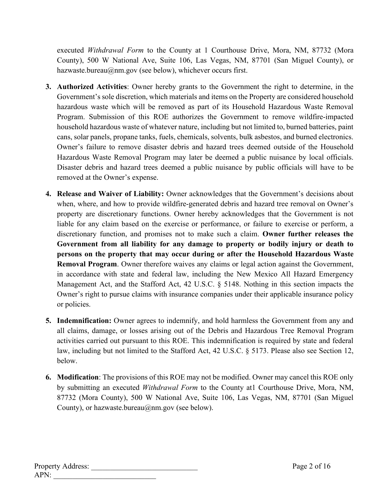executed *Withdrawal Form* to the County at 1 Courthouse Drive, Mora, NM, 87732 (Mora County), 500 W National Ave, Suite 106, Las Vegas, NM, 87701 (San Miguel County), or hazwaste.bureau@nm.gov (see below), whichever occurs first.

- **3. Authorized Activities**: Owner hereby grants to the Government the right to determine, in the Government's sole discretion, which materials and items on the Property are considered household hazardous waste which will be removed as part of its Household Hazardous Waste Removal Program. Submission of this ROE authorizes the Government to remove wildfire-impacted household hazardous waste of whatever nature, including but not limited to, burned batteries, paint cans, solar panels, propane tanks, fuels, chemicals, solvents, bulk asbestos, and burned electronics. Owner's failure to remove disaster debris and hazard trees deemed outside of the Household Hazardous Waste Removal Program may later be deemed a public nuisance by local officials. Disaster debris and hazard trees deemed a public nuisance by public officials will have to be removed at the Owner's expense.
- **4. Release and Waiver of Liability:** Owner acknowledges that the Government's decisions about when, where, and how to provide wildfire-generated debris and hazard tree removal on Owner's property are discretionary functions. Owner hereby acknowledges that the Government is not liable for any claim based on the exercise or performance, or failure to exercise or perform, a discretionary function, and promises not to make such a claim. **Owner further releases the Government from all liability for any damage to property or bodily injury or death to persons on the property that may occur during or after the Household Hazardous Waste Removal Program**. Owner therefore waives any claims or legal action against the Government, in accordance with state and federal law, including the New Mexico All Hazard Emergency Management Act, and the Stafford Act, 42 U.S.C. § 5148. Nothing in this section impacts the Owner's right to pursue claims with insurance companies under their applicable insurance policy or policies.
- **5. Indemnification:** Owner agrees to indemnify, and hold harmless the Government from any and all claims, damage, or losses arising out of the Debris and Hazardous Tree Removal Program activities carried out pursuant to this ROE. This indemnification is required by state and federal law, including but not limited to the Stafford Act, 42 U.S.C. § 5173. Please also see Section 12, below.
- **6. Modification**: The provisions of this ROE may not be modified. Owner may cancel this ROE only by submitting an executed *Withdrawal Form* to the County at1 Courthouse Drive, Mora, NM, 87732 (Mora County), 500 W National Ave, Suite 106, Las Vegas, NM, 87701 (San Miguel County), or hazwaste.bureau $(\widehat{\omega}_{nm}$ .gov (see below).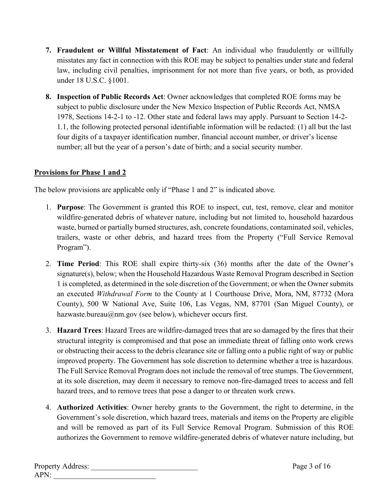- **7. Fraudulent or Willful Misstatement of Fact**: An individual who fraudulently or willfully misstates any fact in connection with this ROE may be subject to penalties under state and federal law, including civil penalties, imprisonment for not more than five years, or both, as provided under 18 U.S.C. §1001.
- **8. Inspection of Public Records Act**: Owner acknowledges that completed ROE forms may be subject to public disclosure under the New Mexico Inspection of Public Records Act, NMSA 1978, Sections 14-2-1 to -12. Other state and federal laws may apply. Pursuant to Section 14-2- 1.1, the following protected personal identifiable information will be redacted: (1) all but the last four digits of a taxpayer identification number, financial account number, or driver's license number; all but the year of a person's date of birth; and a social security number.

#### **Provisions for Phase 1 and 2**

The below provisions are applicable only if "Phase 1 and 2" is indicated above.

- 1. **Purpose**: The Government is granted this ROE to inspect, cut, test, remove, clear and monitor wildfire-generated debris of whatever nature, including but not limited to, household hazardous waste, burned or partially burned structures, ash, concrete foundations, contaminated soil, vehicles, trailers, waste or other debris, and hazard trees from the Property ("Full Service Removal Program").
- 2. **Time Period**: This ROE shall expire thirty-six (36) months after the date of the Owner's signature(s), below; when the Household Hazardous Waste Removal Program described in Section 1 is completed, as determined in the sole discretion of the Government; or when the Owner submits an executed *Withdrawal Form* to the County at 1 Courthouse Drive, Mora, NM, 87732 (Mora County), 500 W National Ave, Suite 106, Las Vegas, NM, 87701 (San Miguel County), or hazwaste.bureau@nm.gov (see below), whichever occurs first.
- 3. **Hazard Trees**: Hazard Trees are wildfire-damaged trees that are so damaged by the fires that their structural integrity is compromised and that pose an immediate threat of falling onto work crews or obstructing their access to the debris clearance site or falling onto a public right of way or public improved property. The Government has sole discretion to determine whether a tree is hazardous. The Full Service Removal Program does not include the removal of tree stumps. The Government, at its sole discretion, may deem it necessary to remove non-fire-damaged trees to access and fell hazard trees, and to remove trees that pose a danger to or threaten work crews.
- 4. **Authorized Activities**: Owner hereby grants to the Government, the right to determine, in the Government's sole discretion, which hazard trees, materials and items on the Property are eligible and will be removed as part of its Full Service Removal Program. Submission of this ROE authorizes the Government to remove wildfire-generated debris of whatever nature including, but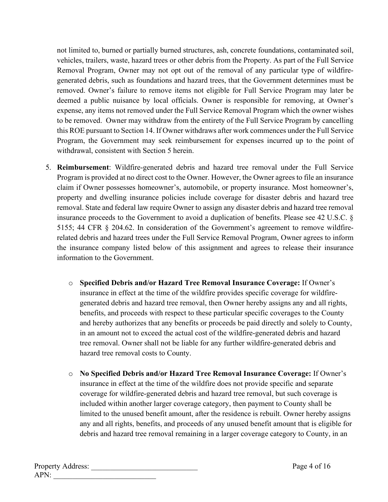not limited to, burned or partially burned structures, ash, concrete foundations, contaminated soil, vehicles, trailers, waste, hazard trees or other debris from the Property. As part of the Full Service Removal Program, Owner may not opt out of the removal of any particular type of wildfiregenerated debris, such as foundations and hazard trees, that the Government determines must be removed. Owner's failure to remove items not eligible for Full Service Program may later be deemed a public nuisance by local officials. Owner is responsible for removing, at Owner's expense, any items not removed under the Full Service Removal Program which the owner wishes to be removed. Owner may withdraw from the entirety of the Full Service Program by cancelling this ROE pursuant to Section 14. If Owner withdraws after work commences under the Full Service Program, the Government may seek reimbursement for expenses incurred up to the point of withdrawal, consistent with Section 5 herein.

- 5. **Reimbursement**: Wildfire-generated debris and hazard tree removal under the Full Service Program is provided at no direct cost to the Owner. However, the Owner agrees to file an insurance claim if Owner possesses homeowner's, automobile, or property insurance. Most homeowner's, property and dwelling insurance policies include coverage for disaster debris and hazard tree removal. State and federal law require Owner to assign any disaster debris and hazard tree removal insurance proceeds to the Government to avoid a duplication of benefits. Please see 42 U.S.C. § 5155; 44 CFR § 204.62. In consideration of the Government's agreement to remove wildfirerelated debris and hazard trees under the Full Service Removal Program, Owner agrees to inform the insurance company listed below of this assignment and agrees to release their insurance information to the Government.
	- o **Specified Debris and/or Hazard Tree Removal Insurance Coverage:** If Owner's insurance in effect at the time of the wildfire provides specific coverage for wildfiregenerated debris and hazard tree removal, then Owner hereby assigns any and all rights, benefits, and proceeds with respect to these particular specific coverages to the County and hereby authorizes that any benefits or proceeds be paid directly and solely to County, in an amount not to exceed the actual cost of the wildfire-generated debris and hazard tree removal. Owner shall not be liable for any further wildfire-generated debris and hazard tree removal costs to County.
	- o **No Specified Debris and/or Hazard Tree Removal Insurance Coverage:** If Owner's insurance in effect at the time of the wildfire does not provide specific and separate coverage for wildfire-generated debris and hazard tree removal, but such coverage is included within another larger coverage category, then payment to County shall be limited to the unused benefit amount, after the residence is rebuilt. Owner hereby assigns any and all rights, benefits, and proceeds of any unused benefit amount that is eligible for debris and hazard tree removal remaining in a larger coverage category to County, in an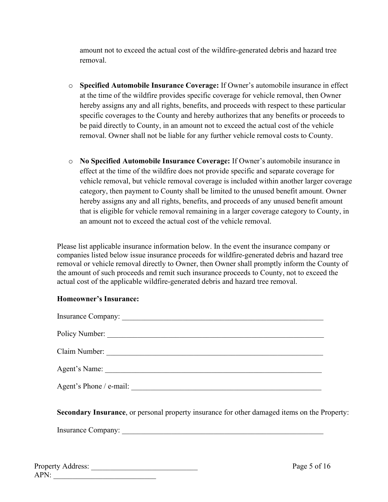amount not to exceed the actual cost of the wildfire-generated debris and hazard tree removal.

- o **Specified Automobile Insurance Coverage:** If Owner's automobile insurance in effect at the time of the wildfire provides specific coverage for vehicle removal, then Owner hereby assigns any and all rights, benefits, and proceeds with respect to these particular specific coverages to the County and hereby authorizes that any benefits or proceeds to be paid directly to County, in an amount not to exceed the actual cost of the vehicle removal. Owner shall not be liable for any further vehicle removal costs to County.
- o **No Specified Automobile Insurance Coverage:** If Owner's automobile insurance in effect at the time of the wildfire does not provide specific and separate coverage for vehicle removal, but vehicle removal coverage is included within another larger coverage category, then payment to County shall be limited to the unused benefit amount. Owner hereby assigns any and all rights, benefits, and proceeds of any unused benefit amount that is eligible for vehicle removal remaining in a larger coverage category to County, in an amount not to exceed the actual cost of the vehicle removal.

Please list applicable insurance information below. In the event the insurance company or companies listed below issue insurance proceeds for wildfire-generated debris and hazard tree removal or vehicle removal directly to Owner, then Owner shall promptly inform the County of the amount of such proceeds and remit such insurance proceeds to County, not to exceed the actual cost of the applicable wildfire-generated debris and hazard tree removal.

#### **Homeowner's Insurance:**

| Insurance Company:      |
|-------------------------|
| Policy Number:          |
| Claim Number:           |
| Agent's Name:           |
| Agent's Phone / e-mail: |

**Secondary Insurance**, or personal property insurance for other damaged items on the Property:

Insurance Company:

| Property Address: |  |
|-------------------|--|
| $\Delta P N$      |  |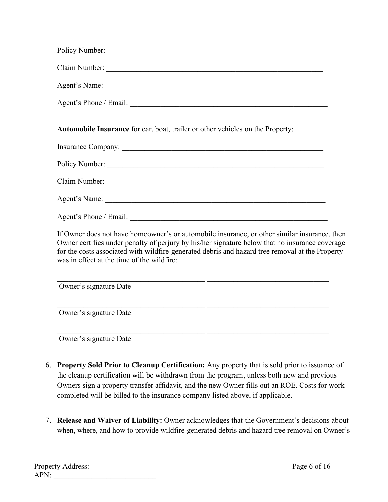| Policy Number:         |  |
|------------------------|--|
| Claim Number:          |  |
| Agent's Name:          |  |
| Agent's Phone / Email: |  |

**Automobile Insurance** for car, boat, trailer or other vehicles on the Property:

| Claim Number:          |  |
|------------------------|--|
| Agent's Name:          |  |
| Agent's Phone / Email: |  |

If Owner does not have homeowner's or automobile insurance, or other similar insurance, then Owner certifies under penalty of perjury by his/her signature below that no insurance coverage for the costs associated with wildfire-generated debris and hazard tree removal at the Property was in effect at the time of the wildfire:

 $\_$  , and the set of the set of the set of the set of the set of the set of the set of the set of the set of the set of the set of the set of the set of the set of the set of the set of the set of the set of the set of th

 $\_$  , and the set of the set of the set of the set of the set of the set of the set of the set of the set of the set of the set of the set of the set of the set of the set of the set of the set of the set of the set of th

Owner's signature Date

Owner's signature Date

Owner's signature Date

- 6. **Property Sold Prior to Cleanup Certification:** Any property that is sold prior to issuance of the cleanup certification will be withdrawn from the program, unless both new and previous Owners sign a property transfer affidavit, and the new Owner fills out an ROE. Costs for work completed will be billed to the insurance company listed above, if applicable.
- 7. **Release and Waiver of Liability:** Owner acknowledges that the Government's decisions about when, where, and how to provide wildfire-generated debris and hazard tree removal on Owner's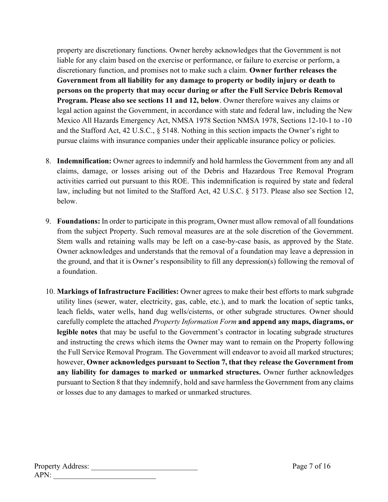property are discretionary functions. Owner hereby acknowledges that the Government is not liable for any claim based on the exercise or performance, or failure to exercise or perform, a discretionary function, and promises not to make such a claim. **Owner further releases the Government from all liability for any damage to property or bodily injury or death to persons on the property that may occur during or after the Full Service Debris Removal Program. Please also see sections 11 and 12, below**. Owner therefore waives any claims or legal action against the Government, in accordance with state and federal law, including the New Mexico All Hazards Emergency Act, NMSA 1978 Section NMSA 1978, Sections 12-10-1 to -10 and the Stafford Act, 42 U.S.C., § 5148. Nothing in this section impacts the Owner's right to pursue claims with insurance companies under their applicable insurance policy or policies.

- 8. **Indemnification:** Owner agrees to indemnify and hold harmless the Government from any and all claims, damage, or losses arising out of the Debris and Hazardous Tree Removal Program activities carried out pursuant to this ROE. This indemnification is required by state and federal law, including but not limited to the Stafford Act, 42 U.S.C. § 5173. Please also see Section 12, below.
- 9. **Foundations:** In order to participate in this program, Owner must allow removal of all foundations from the subject Property. Such removal measures are at the sole discretion of the Government. Stem walls and retaining walls may be left on a case-by-case basis, as approved by the State. Owner acknowledges and understands that the removal of a foundation may leave a depression in the ground, and that it is Owner's responsibility to fill any depression(s) following the removal of a foundation.
- 10. **Markings of Infrastructure Facilities:** Owner agrees to make their best efforts to mark subgrade utility lines (sewer, water, electricity, gas, cable, etc.), and to mark the location of septic tanks, leach fields, water wells, hand dug wells/cisterns, or other subgrade structures. Owner should carefully complete the attached *Property Information Form* **and append any maps, diagrams, or legible notes** that may be useful to the Government's contractor in locating subgrade structures and instructing the crews which items the Owner may want to remain on the Property following the Full Service Removal Program. The Government will endeavor to avoid all marked structures; however, **Owner acknowledges pursuant to Section 7, that they release the Government from any liability for damages to marked or unmarked structures.** Owner further acknowledges pursuant to Section 8 that they indemnify, hold and save harmless the Government from any claims or losses due to any damages to marked or unmarked structures.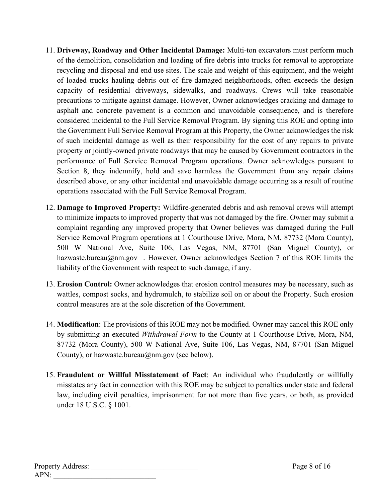- 11. **Driveway, Roadway and Other Incidental Damage:** Multi-ton excavators must perform much of the demolition, consolidation and loading of fire debris into trucks for removal to appropriate recycling and disposal and end use sites. The scale and weight of this equipment, and the weight of loaded trucks hauling debris out of fire-damaged neighborhoods, often exceeds the design capacity of residential driveways, sidewalks, and roadways. Crews will take reasonable precautions to mitigate against damage. However, Owner acknowledges cracking and damage to asphalt and concrete pavement is a common and unavoidable consequence, and is therefore considered incidental to the Full Service Removal Program. By signing this ROE and opting into the Government Full Service Removal Program at this Property, the Owner acknowledges the risk of such incidental damage as well as their responsibility for the cost of any repairs to private property or jointly-owned private roadways that may be caused by Government contractors in the performance of Full Service Removal Program operations. Owner acknowledges pursuant to Section 8, they indemnify, hold and save harmless the Government from any repair claims described above, or any other incidental and unavoidable damage occurring as a result of routine operations associated with the Full Service Removal Program.
- 12. **Damage to Improved Property:** Wildfire-generated debris and ash removal crews will attempt to minimize impacts to improved property that was not damaged by the fire. Owner may submit a complaint regarding any improved property that Owner believes was damaged during the Full Service Removal Program operations at 1 Courthouse Drive, Mora, NM, 87732 (Mora County), 500 W National Ave, Suite 106, Las Vegas, NM, 87701 (San Miguel County), or hazwaste.bureau@nm.gov . However, Owner acknowledges Section 7 of this ROE limits the liability of the Government with respect to such damage, if any.
- 13. **Erosion Control:** Owner acknowledges that erosion control measures may be necessary, such as wattles, compost socks, and hydromulch, to stabilize soil on or about the Property. Such erosion control measures are at the sole discretion of the Government.
- 14. **Modification**: The provisions of this ROE may not be modified. Owner may cancel this ROE only by submitting an executed *Withdrawal Form* to the County at 1 Courthouse Drive, Mora, NM, 87732 (Mora County), 500 W National Ave, Suite 106, Las Vegas, NM, 87701 (San Miguel County), or hazwaste.bureau@nm.gov (see below).
- 15. **Fraudulent or Willful Misstatement of Fact**: An individual who fraudulently or willfully misstates any fact in connection with this ROE may be subject to penalties under state and federal law, including civil penalties, imprisonment for not more than five years, or both, as provided under 18 U.S.C. § 1001.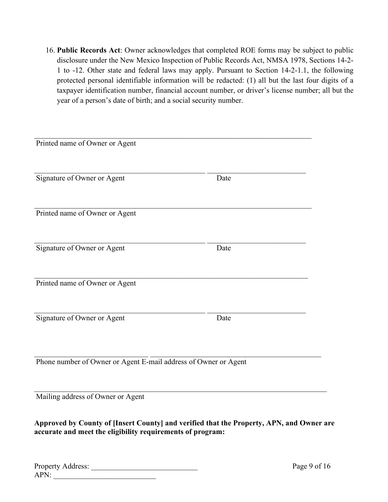16. **Public Records Act**: Owner acknowledges that completed ROE forms may be subject to public disclosure under the New Mexico Inspection of Public Records Act, NMSA 1978, Sections 14-2- 1 to -12. Other state and federal laws may apply. Pursuant to Section 14-2-1.1, the following protected personal identifiable information will be redacted: (1) all but the last four digits of a taxpayer identification number, financial account number, or driver's license number; all but the year of a person's date of birth; and a social security number.

| Printed name of Owner or Agent                                  |      |  |
|-----------------------------------------------------------------|------|--|
| Signature of Owner or Agent                                     | Date |  |
| Printed name of Owner or Agent                                  |      |  |
| Signature of Owner or Agent                                     | Date |  |
| Printed name of Owner or Agent                                  |      |  |
| Signature of Owner or Agent                                     | Date |  |
| Phone number of Owner or Agent E-mail address of Owner or Agent |      |  |
|                                                                 |      |  |
| Mailing address of Owner or Agent                               |      |  |

**Approved by County of [Insert County] and verified that the Property, APN, and Owner are accurate and meet the eligibility requirements of program:** 

| <b>Property Address:</b> |  |
|--------------------------|--|
| APN                      |  |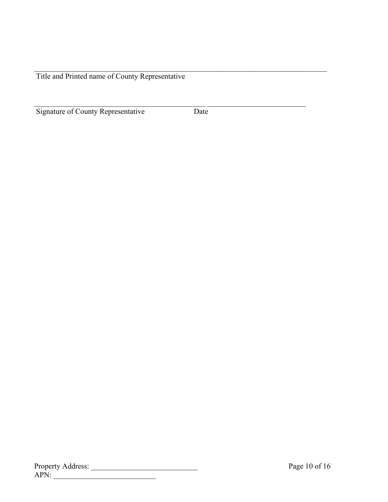Title and Printed name of County Representative

Signature of County Representative Date

 $\mathcal{L}_\mathcal{L} = \mathcal{L}_\mathcal{L} = \mathcal{L}_\mathcal{L} = \mathcal{L}_\mathcal{L} = \mathcal{L}_\mathcal{L} = \mathcal{L}_\mathcal{L} = \mathcal{L}_\mathcal{L} = \mathcal{L}_\mathcal{L} = \mathcal{L}_\mathcal{L} = \mathcal{L}_\mathcal{L} = \mathcal{L}_\mathcal{L} = \mathcal{L}_\mathcal{L} = \mathcal{L}_\mathcal{L} = \mathcal{L}_\mathcal{L} = \mathcal{L}_\mathcal{L} = \mathcal{L}_\mathcal{L} = \mathcal{L}_\mathcal{L}$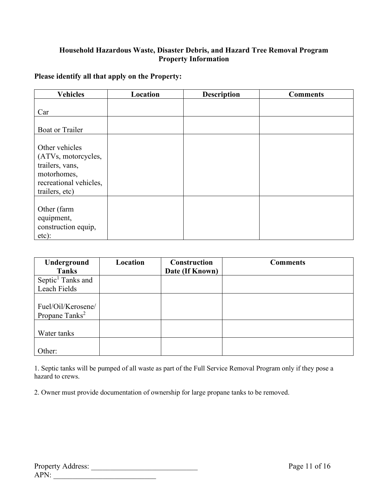#### **Household Hazardous Waste, Disaster Debris, and Hazard Tree Removal Program Property Information**

#### **Please identify all that apply on the Property:**

| <b>Vehicles</b>                                                                                                     | Location | <b>Description</b> | <b>Comments</b> |
|---------------------------------------------------------------------------------------------------------------------|----------|--------------------|-----------------|
| Car                                                                                                                 |          |                    |                 |
| <b>Boat or Trailer</b>                                                                                              |          |                    |                 |
| Other vehicles<br>(ATVs, motorcycles,<br>trailers, vans,<br>motorhomes,<br>recreational vehicles,<br>trailers, etc) |          |                    |                 |
| Other (farm<br>equipment,<br>construction equip,<br>etc):                                                           |          |                    |                 |

| Underground                   | Location | <b>Construction</b> | <b>Comments</b> |
|-------------------------------|----------|---------------------|-----------------|
| <b>Tanks</b>                  |          | Date (If Known)     |                 |
| Septic <sup>1</sup> Tanks and |          |                     |                 |
| Leach Fields                  |          |                     |                 |
|                               |          |                     |                 |
| Fuel/Oil/Kerosene/            |          |                     |                 |
| Propane Tanks <sup>2</sup>    |          |                     |                 |
|                               |          |                     |                 |
| Water tanks                   |          |                     |                 |
|                               |          |                     |                 |
| Other:                        |          |                     |                 |

1. Septic tanks will be pumped of all waste as part of the Full Service Removal Program only if they pose a hazard to crews.

2. Owner must provide documentation of ownership for large propane tanks to be removed.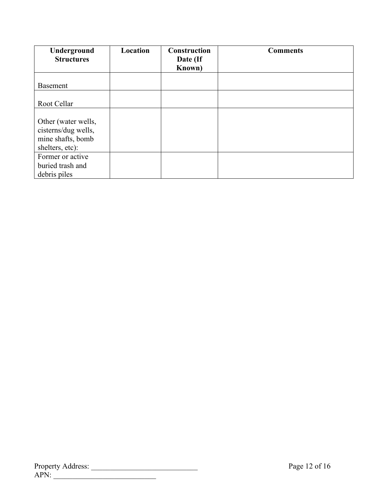| Underground<br><b>Structures</b>                                                   | Location | Construction<br>Date (If<br>Known) | <b>Comments</b> |
|------------------------------------------------------------------------------------|----------|------------------------------------|-----------------|
|                                                                                    |          |                                    |                 |
| <b>Basement</b>                                                                    |          |                                    |                 |
|                                                                                    |          |                                    |                 |
| Root Cellar                                                                        |          |                                    |                 |
| Other (water wells,<br>cisterns/dug wells,<br>mine shafts, bomb<br>shelters, etc): |          |                                    |                 |
| Former or active<br>buried trash and                                               |          |                                    |                 |
| debris piles                                                                       |          |                                    |                 |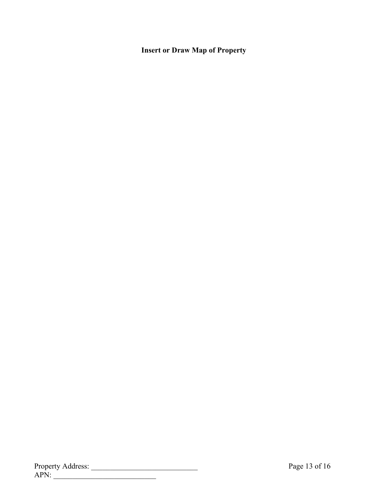#### **Insert or Draw Map of Property**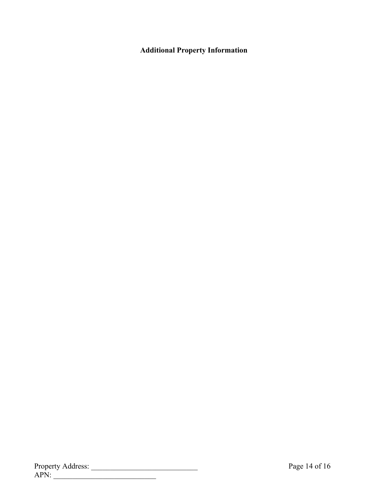#### **Additional Property Information**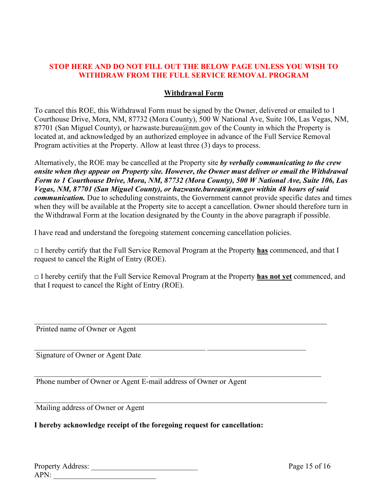#### **STOP HERE AND DO NOT FILL OUT THE BELOW PAGE UNLESS YOU WISH TO WITHDRAW FROM THE FULL SERVICE REMOVAL PROGRAM**

#### **Withdrawal Form**

To cancel this ROE, this Withdrawal Form must be signed by the Owner, delivered or emailed to 1 Courthouse Drive, Mora, NM, 87732 (Mora County), 500 W National Ave, Suite 106, Las Vegas, NM, 87701 (San Miguel County), or hazwaste.bureau@nm.gov of the County in which the Property is located at, and acknowledged by an authorized employee in advance of the Full Service Removal Program activities at the Property. Allow at least three (3) days to process.

Alternatively, the ROE may be cancelled at the Property site *by verbally communicating to the crew onsite when they appear on Property site. However, the Owner must deliver or email the Withdrawal Form to 1 Courthouse Drive, Mora, NM, 87732 (Mora County), 500 W National Ave, Suite 106, Las Vegas, NM, 87701 (San Miguel County), or hazwaste.bureau@nm.gov within 48 hours of said communication.* Due to scheduling constraints, the Government cannot provide specific dates and times when they will be available at the Property site to accept a cancellation. Owner should therefore turn in the Withdrawal Form at the location designated by the County in the above paragraph if possible.

I have read and understand the foregoing statement concerning cancellation policies.

□ I hereby certify that the Full Service Removal Program at the Property **has** commenced, and that I request to cancel the Right of Entry (ROE).

□ I hereby certify that the Full Service Removal Program at the Property **has not yet** commenced, and that I request to cancel the Right of Entry (ROE).

\_\_\_\_\_\_\_\_\_\_\_\_\_\_\_\_\_\_\_\_\_\_\_\_\_\_\_\_\_\_\_\_\_\_\_\_\_\_\_\_\_\_\_\_\_\_\_\_\_\_\_\_\_\_\_\_\_\_\_\_\_\_\_\_\_\_\_\_\_\_\_\_\_\_\_\_\_

 $\mathcal{L}_\text{max}$  , and the contribution of the contribution of the contribution of the contribution of the contribution of the contribution of the contribution of the contribution of the contribution of the contribution of t

 $\mathcal{L}_\mathcal{L} = \mathcal{L}_\mathcal{L} = \mathcal{L}_\mathcal{L} = \mathcal{L}_\mathcal{L} = \mathcal{L}_\mathcal{L} = \mathcal{L}_\mathcal{L} = \mathcal{L}_\mathcal{L} = \mathcal{L}_\mathcal{L} = \mathcal{L}_\mathcal{L} = \mathcal{L}_\mathcal{L} = \mathcal{L}_\mathcal{L} = \mathcal{L}_\mathcal{L} = \mathcal{L}_\mathcal{L} = \mathcal{L}_\mathcal{L} = \mathcal{L}_\mathcal{L} = \mathcal{L}_\mathcal{L} = \mathcal{L}_\mathcal{L}$ 

\_\_\_\_\_\_\_\_\_\_\_\_\_\_\_\_\_\_\_\_\_\_\_\_\_\_\_\_\_\_\_\_\_\_\_\_\_\_\_\_\_\_\_\_\_\_\_\_\_\_\_\_\_\_\_\_\_\_\_\_\_\_\_\_\_\_\_\_\_\_\_\_\_\_\_\_\_

Printed name of Owner or Agent

Signature of Owner or Agent Date

Phone number of Owner or Agent E-mail address of Owner or Agent

Mailing address of Owner or Agent

#### **I hereby acknowledge receipt of the foregoing request for cancellation:**

| <b>Property Address:</b> |  |
|--------------------------|--|
| APN:                     |  |